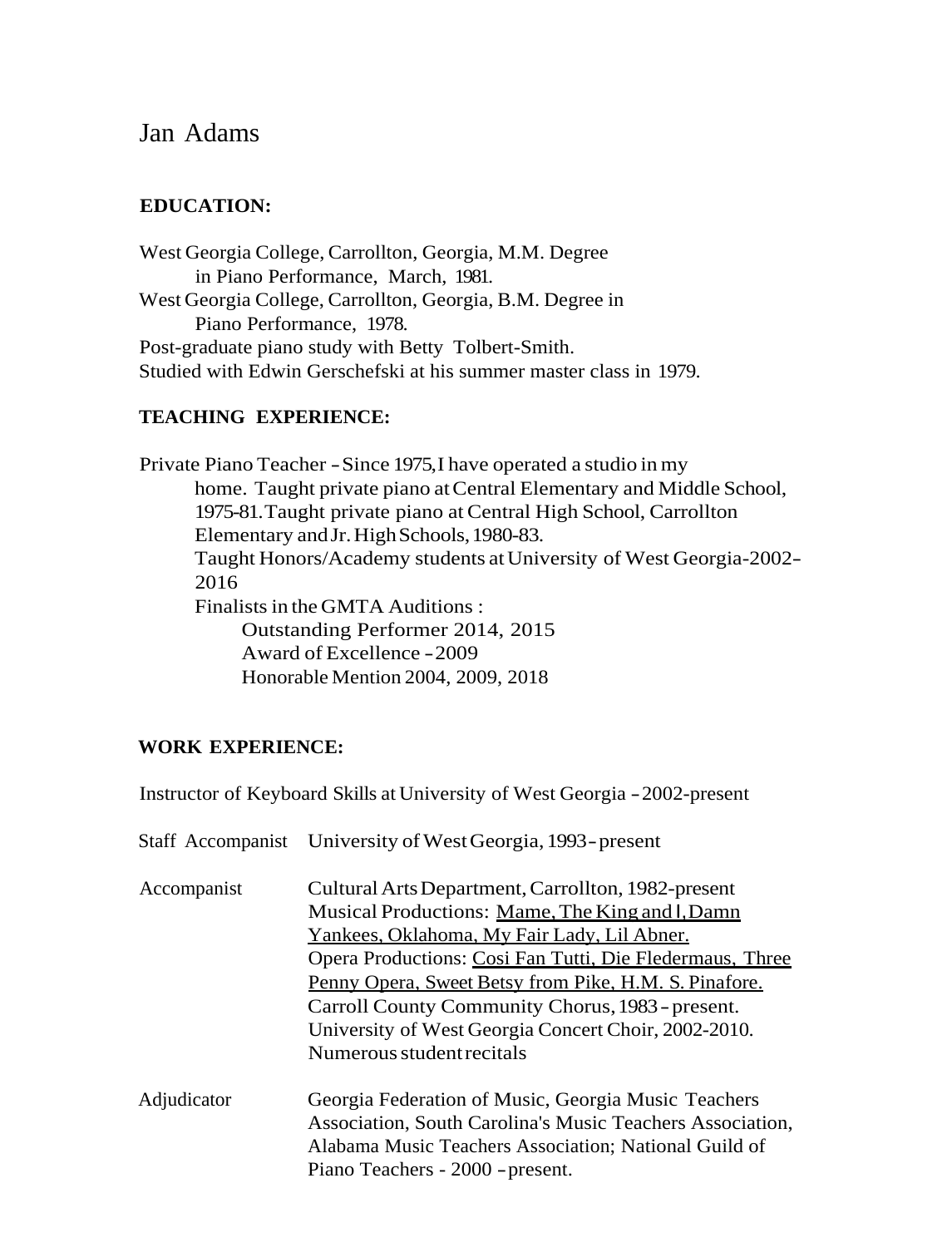# Jan Adams

## **EDUCATION:**

West Georgia College, Carrollton, Georgia, M.M. Degree in Piano Performance, March, 1981. West Georgia College, Carrollton, Georgia, B.M. Degree in Piano Performance, 1978. Post-graduate piano study with Betty Tolbert-Smith. Studied with Edwin Gerschefski at his summer master class in 1979.

### **TEACHING EXPERIENCE:**

Private Piano Teacher -Since 1975,I have operated a studio in my home. Taught private piano at Central Elementary and Middle School, 1975-81.Taught private piano at Central High School, Carrollton Elementary and Jr. High Schools, 1980-83. Taught Honors/Academy students atUniversity of West Georgia-2002- 2016 Finalists in the GMTA Auditions : Outstanding Performer 2014, 2015 Award of Excellence -2009 Honorable Mention 2004, 2009, 2018

### **WORK EXPERIENCE:**

Instructor of Keyboard Skills at University of West Georgia -2002-present

| Cultural Arts Department, Carrollton, 1982-present                                                                                                                                                            |
|---------------------------------------------------------------------------------------------------------------------------------------------------------------------------------------------------------------|
| Musical Productions: Mame, The King and I, Damn                                                                                                                                                               |
| <u>Yankees, Oklahoma, My Fair Lady, Lil Abner.</u>                                                                                                                                                            |
| Opera Productions: Cosi Fan Tutti, Die Fledermaus, Three                                                                                                                                                      |
| Penny Opera, Sweet Betsy from Pike, H.M. S. Pinafore.                                                                                                                                                         |
| Carroll County Community Chorus, 1983 - present.                                                                                                                                                              |
| University of West Georgia Concert Choir, 2002-2010.                                                                                                                                                          |
| Numerous student recitals                                                                                                                                                                                     |
| Georgia Federation of Music, Georgia Music Teachers<br>Association, South Carolina's Music Teachers Association,<br>Alabama Music Teachers Association; National Guild of<br>Piano Teachers - 2000 - present. |
|                                                                                                                                                                                                               |